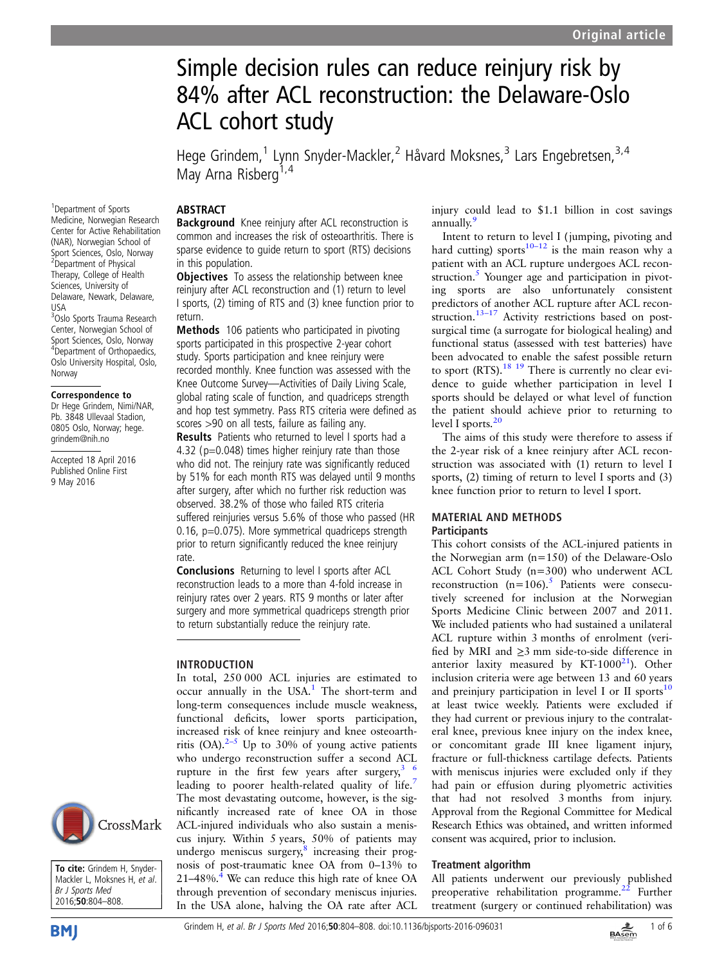# Simple decision rules can reduce reinjury risk by 84% after ACL reconstruction: the Delaware-Oslo ACL cohort study

Hege Grindem,<sup>1</sup> Lynn Snyder-Mackler,<sup>2</sup> Håvard Moksnes,<sup>3</sup> Lars Engebretsen,<sup>3,4</sup> May Arna Risberg<sup>1,4</sup>

## ABSTRACT

1 Department of Sports Medicine, Norwegian Research Center for Active Rehabilitation (NAR), Norwegian School of Sport Sciences, Oslo, Norway 2 Department of Physical Therapy, College of Health Sciences, University of **Background** Knee reinjury after ACL reconstruction is common and increases the risk of osteoarthritis. There is sparse evidence to guide return to sport (RTS) decisions in this population. **Objectives** To assess the relationship between knee

reinjury after ACL reconstruction and (1) return to level I sports, (2) timing of RTS and (3) knee function prior to return.

Methods 106 patients who participated in pivoting sports participated in this prospective 2-year cohort study. Sports participation and knee reinjury were recorded monthly. Knee function was assessed with the Knee Outcome Survey—Activities of Daily Living Scale, global rating scale of function, and quadriceps strength and hop test symmetry. Pass RTS criteria were defined as scores >90 on all tests, failure as failing any.

Results Patients who returned to level I sports had a 4.32 ( $p=0.048$ ) times higher reinjury rate than those who did not. The reinjury rate was significantly reduced by 51% for each month RTS was delayed until 9 months after surgery, after which no further risk reduction was observed. 38.2% of those who failed RTS criteria suffered reinjuries versus 5.6% of those who passed (HR 0.16, p=0.075). More symmetrical quadriceps strength prior to return significantly reduced the knee reinjury rate.

Conclusions Returning to level I sports after ACL reconstruction leads to a more than 4-fold increase in reinjury rates over 2 years. RTS 9 months or later after surgery and more symmetrical quadriceps strength prior to return substantially reduce the reinjury rate.

# INTRODUCTION

In total, 250 000 ACL injuries are estimated to occur annually in the USA.<sup>[1](#page-4-0)</sup> The short-term and long-term consequences include muscle weakness, functional deficits, lower sports participation, increased risk of knee reinjury and knee osteoarthritis (OA). $2-5$  $2-5$  Up to 30% of young active patients who undergo reconstruction suffer a second ACL rupture in the first few years after surgery,  $3/6$ leading to poorer health-related quality of life.<sup>[7](#page-4-0)</sup> The most devastating outcome, however, is the significantly increased rate of knee OA in those ACL-injured individuals who also sustain a meniscus injury. Within 5 years, 50% of patients may undergo meniscus surgery, $\delta$  increasing their prognosis of post-traumatic knee OA from 0–13% to  $21-48\%$ .<sup>4</sup> We can reduce this high rate of knee OA through prevention of secondary meniscus injuries. In the USA alone, halving the OA rate after ACL injury could lead to \$1.1 billion in cost savings annually.[9](#page-4-0)

Intent to return to level I ( jumping, pivoting and hard cutting) sports<sup>10–12</sup> is the main reason why a patient with an ACL rupture undergoes ACL reconstruction. $5$  Younger age and participation in pivoting sports are also unfortunately consistent predictors of another ACL rupture after ACL recon-struction.<sup>[13](#page-4-0)–17</sup> Activity restrictions based on postsurgical time (a surrogate for biological healing) and functional status (assessed with test batteries) have been advocated to enable the safest possible return to sport (RTS).<sup>[18 19](#page-4-0)</sup> There is currently no clear evidence to guide whether participation in level I sports should be delayed or what level of function the patient should achieve prior to returning to level I sports.<sup>[20](#page-4-0)</sup>

The aims of this study were therefore to assess if the 2-year risk of a knee reinjury after ACL reconstruction was associated with (1) return to level I sports, (2) timing of return to level I sports and (3) knee function prior to return to level I sport.

## MATERIAL AND METHODS **Participants**

This cohort consists of the ACL-injured patients in the Norwegian arm (n=150) of the Delaware-Oslo ACL Cohort Study (n=300) who underwent ACL reconstruction  $(n=106)$ .<sup>[5](#page-4-0)</sup> Patients were consecutively screened for inclusion at the Norwegian Sports Medicine Clinic between 2007 and 2011. We included patients who had sustained a unilateral ACL rupture within 3 months of enrolment (verified by MRI and ≥3 mm side-to-side difference in anterior laxity measured by KT-1000 $^{21}$ ). Other inclusion criteria were age between 13 and 60 years and preinjury participation in level I or II sports $10$ at least twice weekly. Patients were excluded if they had current or previous injury to the contralateral knee, previous knee injury on the index knee, or concomitant grade III knee ligament injury, fracture or full-thickness cartilage defects. Patients with meniscus injuries were excluded only if they had pain or effusion during plyometric activities that had not resolved 3 months from injury. Approval from the Regional Committee for Medical Research Ethics was obtained, and written informed consent was acquired, prior to inclusion.

## Treatment algorithm

All patients underwent our previously published preoperative rehabilitation programme. $^{22}$  Further treatment (surgery or continued rehabilitation) was



Delaware, Newark, Delaware,

<sup>3</sup>Oslo Sports Trauma Research Center, Norwegian School of Sport Sciences, Oslo, Norway 4 Department of Orthopaedics, Oslo University Hospital, Oslo,

Correspondence to Dr Hege Grindem, Nimi/NAR, Pb. 3848 Ullevaal Stadion, 0805 Oslo, Norway; hege. grindem@nih.no

Accepted 18 April 2016 Published Online First 9 May 2016

USA

Norway

To cite: Grindem H, Snyder-Mackler L, Moksnes H, et al. Br J Sports Med 2016;50:804–808.



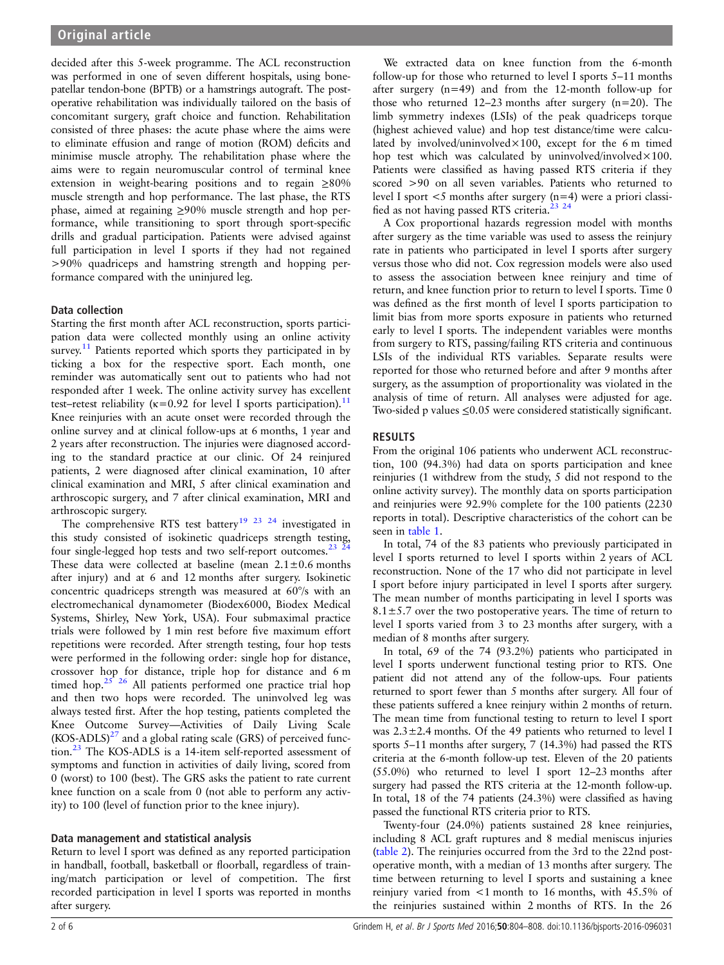decided after this 5-week programme. The ACL reconstruction was performed in one of seven different hospitals, using bonepatellar tendon-bone (BPTB) or a hamstrings autograft. The postoperative rehabilitation was individually tailored on the basis of concomitant surgery, graft choice and function. Rehabilitation consisted of three phases: the acute phase where the aims were to eliminate effusion and range of motion (ROM) deficits and minimise muscle atrophy. The rehabilitation phase where the aims were to regain neuromuscular control of terminal knee extension in weight-bearing positions and to regain ≥80% muscle strength and hop performance. The last phase, the RTS phase, aimed at regaining ≥90% muscle strength and hop performance, while transitioning to sport through sport-specific drills and gradual participation. Patients were advised against full participation in level I sports if they had not regained >90% quadriceps and hamstring strength and hopping performance compared with the uninjured leg.

# Data collection

Starting the first month after ACL reconstruction, sports participation data were collected monthly using an online activity survey.<sup>[11](#page-4-0)</sup> Patients reported which sports they participated in by ticking a box for the respective sport. Each month, one reminder was automatically sent out to patients who had not responded after 1 week. The online activity survey has excellent test–retest reliability ( $\kappa$ =0.92 for level I sports participation).<sup>11</sup> Knee reinjuries with an acute onset were recorded through the online survey and at clinical follow-ups at 6 months, 1 year and 2 years after reconstruction. The injuries were diagnosed according to the standard practice at our clinic. Of 24 reinjured patients, 2 were diagnosed after clinical examination, 10 after clinical examination and MRI, 5 after clinical examination and arthroscopic surgery, and 7 after clinical examination, MRI and arthroscopic surgery.

The comprehensive RTS test battery<sup>[19 23 24](#page-4-0)</sup> investigated in this study consisted of isokinetic quadriceps strength testing, four single-legged hop tests and two self-report outcomes.<sup>23</sup>  $^{24}$ These data were collected at baseline (mean  $2.1 \pm 0.6$  months after injury) and at 6 and 12 months after surgery. Isokinetic concentric quadriceps strength was measured at 60°/s with an electromechanical dynamometer (Biodex6000, Biodex Medical Systems, Shirley, New York, USA). Four submaximal practice trials were followed by 1 min rest before five maximum effort repetitions were recorded. After strength testing, four hop tests were performed in the following order: single hop for distance, crossover hop for distance, triple hop for distance and 6 m timed hop.<sup>25</sup><sup>26</sup> All patients performed one practice trial hop and then two hops were recorded. The uninvolved leg was always tested first. After the hop testing, patients completed the Knee Outcome Survey—Activities of Daily Living Scale  $(KOS-ADLS)^{27}$  $(KOS-ADLS)^{27}$  $(KOS-ADLS)^{27}$  and a global rating scale (GRS) of perceived function.[23](#page-4-0) The KOS-ADLS is a 14-item self-reported assessment of symptoms and function in activities of daily living, scored from 0 (worst) to 100 (best). The GRS asks the patient to rate current knee function on a scale from 0 (not able to perform any activity) to 100 (level of function prior to the knee injury).

## Data management and statistical analysis

Return to level I sport was defined as any reported participation in handball, football, basketball or floorball, regardless of training/match participation or level of competition. The first recorded participation in level I sports was reported in months after surgery.

We extracted data on knee function from the 6-month follow-up for those who returned to level I sports 5–11 months after surgery (n=49) and from the 12-month follow-up for those who returned 12–23 months after surgery (n=20). The limb symmetry indexes (LSIs) of the peak quadriceps torque (highest achieved value) and hop test distance/time were calculated by involved/uninvolved $\times$ 100, except for the 6 m timed hop test which was calculated by uninvolved/involved $\times 100$ . Patients were classified as having passed RTS criteria if they scored >90 on all seven variables. Patients who returned to level I sport <5 months after surgery (n=4) were a priori classified as not having passed RTS criteria.<sup>23</sup> <sup>24</sup>

A Cox proportional hazards regression model with months after surgery as the time variable was used to assess the reinjury rate in patients who participated in level I sports after surgery versus those who did not. Cox regression models were also used to assess the association between knee reinjury and time of return, and knee function prior to return to level I sports. Time 0 was defined as the first month of level I sports participation to limit bias from more sports exposure in patients who returned early to level I sports. The independent variables were months from surgery to RTS, passing/failing RTS criteria and continuous LSIs of the individual RTS variables. Separate results were reported for those who returned before and after 9 months after surgery, as the assumption of proportionality was violated in the analysis of time of return. All analyses were adjusted for age. Two-sided p values ≤0.05 were considered statistically significant.

# RESULTS

From the original 106 patients who underwent ACL reconstruction, 100 (94.3%) had data on sports participation and knee reinjuries (1 withdrew from the study, 5 did not respond to the online activity survey). The monthly data on sports participation and reinjuries were 92.9% complete for the 100 patients (2230 reports in total). Descriptive characteristics of the cohort can be seen in [table 1.](#page-2-0)

In total, 74 of the 83 patients who previously participated in level I sports returned to level I sports within 2 years of ACL reconstruction. None of the 17 who did not participate in level I sport before injury participated in level I sports after surgery. The mean number of months participating in level I sports was  $8.1 \pm 5.7$  over the two postoperative years. The time of return to level I sports varied from 3 to 23 months after surgery, with a median of 8 months after surgery.

In total, 69 of the 74 (93.2%) patients who participated in level I sports underwent functional testing prior to RTS. One patient did not attend any of the follow-ups. Four patients returned to sport fewer than 5 months after surgery. All four of these patients suffered a knee reinjury within 2 months of return. The mean time from functional testing to return to level I sport was 2.3±2.4 months. Of the 49 patients who returned to level I sports 5–11 months after surgery, 7 (14.3%) had passed the RTS criteria at the 6-month follow-up test. Eleven of the 20 patients (55.0%) who returned to level I sport 12–23 months after surgery had passed the RTS criteria at the 12-month follow-up. In total, 18 of the 74 patients (24.3%) were classified as having passed the functional RTS criteria prior to RTS.

Twenty-four (24.0%) patients sustained 28 knee reinjuries, including 8 ACL graft ruptures and 8 medial meniscus injuries ([table 2](#page-2-0)). The reinjuries occurred from the 3rd to the 22nd postoperative month, with a median of 13 months after surgery. The time between returning to level I sports and sustaining a knee reinjury varied from <1 month to 16 months, with 45.5% of the reinjuries sustained within 2 months of RTS. In the 26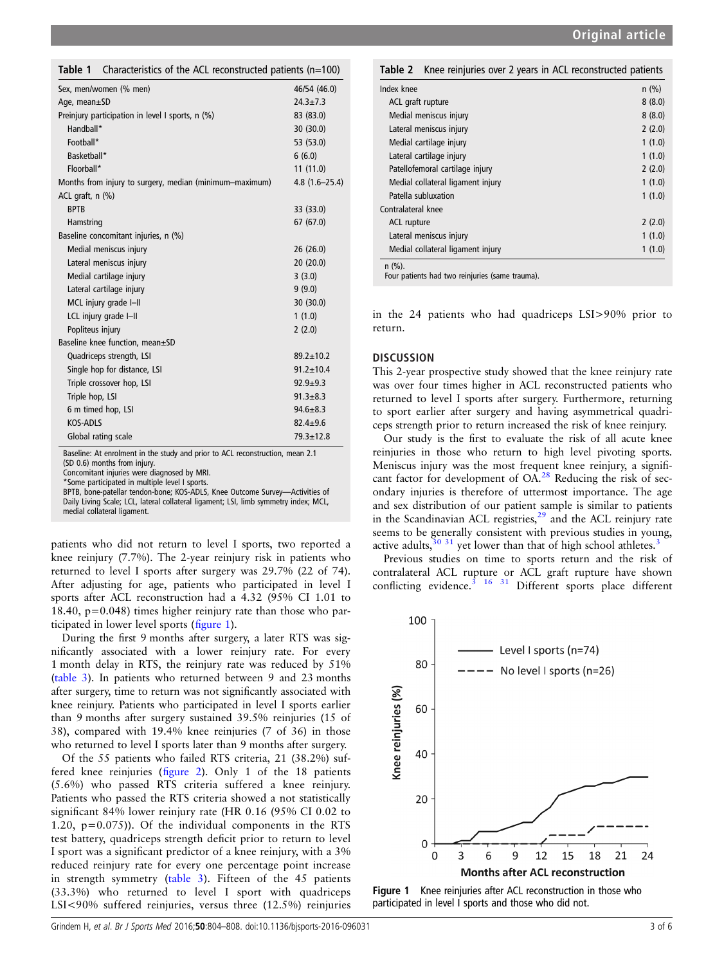<span id="page-2-0"></span>Table 1 Characteristics of the ACL reconstructed patients (n=100)

| Sex, men/women (% men)                                  | 46/54 (46.0)      |
|---------------------------------------------------------|-------------------|
| Age, mean $\pm$ SD                                      | $24.3 \pm 7.3$    |
| Preinjury participation in level I sports, n (%)        | 83 (83.0)         |
| Handball*                                               | 30 (30.0)         |
| Football*                                               | 53 (53.0)         |
| Basketball*                                             | 6(6.0)            |
| Floorball*                                              | 11(11.0)          |
| Months from injury to surgery, median (minimum-maximum) | $4.8(1.6 - 25.4)$ |
| ACL graft, $n$ $(\%)$                                   |                   |
| <b>BPTB</b>                                             | 33 (33.0)         |
| Hamstring                                               | 67 (67.0)         |
| Baseline concomitant injuries, n (%)                    |                   |
| Medial meniscus injury                                  | 26(26.0)          |
| Lateral meniscus injury                                 | 20 (20.0)         |
| Medial cartilage injury                                 | 3(3.0)            |
| Lateral cartilage injury                                | 9(9.0)            |
| MCL injury grade I-II                                   | 30 (30.0)         |
| LCL injury grade I-II                                   | 1(1.0)            |
| Popliteus injury                                        | 2(2.0)            |
| Baseline knee function, mean±SD                         |                   |
| Quadriceps strength, LSI                                | $89.2 + 10.2$     |
| Single hop for distance, LSI                            | $91.2 \pm 10.4$   |
| Triple crossover hop, LSI                               | $92.9 + 9.3$      |
| Triple hop, LSI                                         | $91.3 + 8.3$      |
| 6 m timed hop, LSI                                      | $94.6 \pm 8.3$    |
| KOS-ADLS                                                | $82.4 \pm 9.6$    |
| Global rating scale                                     | $79.3 + 12.8$     |
|                                                         |                   |

Baseline: At enrolment in the study and prior to ACL reconstruction, mean 2.1 (SD 0.6) months from injury.

Concomitant injuries were diagnosed by MRI.

\*Some participated in multiple level I sports.

BPTB, bone-patellar tendon-bone; KOS-ADLS, Knee Outcome Survey—Activities of Daily Living Scale; LCL, lateral collateral ligament; LSI, limb symmetry index; MCL, medial collateral ligament.

patients who did not return to level I sports, two reported a knee reinjury (7.7%). The 2-year reinjury risk in patients who returned to level I sports after surgery was 29.7% (22 of 74). After adjusting for age, patients who participated in level I sports after ACL reconstruction had a 4.32 (95% CI 1.01 to 18.40,  $p=0.048$ ) times higher reiniury rate than those who participated in lower level sports (figure 1).

During the first 9 months after surgery, a later RTS was significantly associated with a lower reinjury rate. For every 1 month delay in RTS, the reinjury rate was reduced by 51% ([table 3](#page-3-0)). In patients who returned between 9 and 23 months after surgery, time to return was not significantly associated with knee reinjury. Patients who participated in level I sports earlier than 9 months after surgery sustained 39.5% reinjuries (15 of 38), compared with 19.4% knee reinjuries (7 of 36) in those who returned to level I sports later than 9 months after surgery.

Of the 55 patients who failed RTS criteria, 21 (38.2%) suffered knee reinjuries (fi[gure 2\)](#page-3-0). Only 1 of the 18 patients (5.6%) who passed RTS criteria suffered a knee reinjury. Patients who passed the RTS criteria showed a not statistically significant 84% lower reinjury rate (HR 0.16 (95% CI 0.02 to 1.20, p=0.075)). Of the individual components in the RTS test battery, quadriceps strength deficit prior to return to level I sport was a significant predictor of a knee reinjury, with a 3% reduced reinjury rate for every one percentage point increase in strength symmetry [\(table 3\)](#page-3-0). Fifteen of the 45 patients (33.3%) who returned to level I sport with quadriceps LSI<90% suffered reinjuries, versus three (12.5%) reinjuries

| Knee reinjuries over 2 years in ACL reconstructed patients<br>Table 2 |         |
|-----------------------------------------------------------------------|---------|
| Index knee                                                            | $n$ (%) |
| ACL graft rupture                                                     | 8(8.0)  |
| Medial meniscus injury                                                | 8(8.0)  |
| Lateral meniscus injury                                               | 2(2.0)  |
| Medial cartilage injury                                               | 1(1.0)  |
| Lateral cartilage injury                                              | 1(1.0)  |
| Patellofemoral cartilage injury                                       | 2(2.0)  |
| Medial collateral ligament injury                                     | 1(1.0)  |
| Patella subluxation                                                   | 1(1.0)  |
| Contralateral knee                                                    |         |
| ACL rupture                                                           | 2(2.0)  |
| Lateral meniscus injury                                               | 1(1.0)  |
| Medial collateral ligament injury                                     | 1(1.0)  |
| $n$ (%).                                                              |         |

Four patients had two reinjuries (same trauma).

in the 24 patients who had quadriceps LSI>90% prior to return.

## **DISCUSSION**

This 2-year prospective study showed that the knee reinjury rate was over four times higher in ACL reconstructed patients who returned to level I sports after surgery. Furthermore, returning to sport earlier after surgery and having asymmetrical quadriceps strength prior to return increased the risk of knee reinjury.

Our study is the first to evaluate the risk of all acute knee reinjuries in those who return to high level pivoting sports. Meniscus injury was the most frequent knee reinjury, a signifi-cant factor for development of OA.<sup>[28](#page-4-0)</sup> Reducing the risk of secondary injuries is therefore of uttermost importance. The age and sex distribution of our patient sample is similar to patients in the Scandinavian ACL registries, $2<sup>9</sup>$  and the ACL reinjury rate seems to be generally consistent with previous studies in young, active adults, $30\frac{31}{1}$  $30\frac{31}{1}$  $30\frac{31}{1}$  $30\frac{31}{1}$  yet lower than that of high school athletes.<sup>3</sup>

Previous studies on time to sports return and the risk of contralateral ACL rupture or ACL graft rupture have shown conflicting evidence.<sup>3</sup> <sup>16</sup> <sup>31</sup> Different sports place different



Figure 1 Knee reinjuries after ACL reconstruction in those who participated in level I sports and those who did not.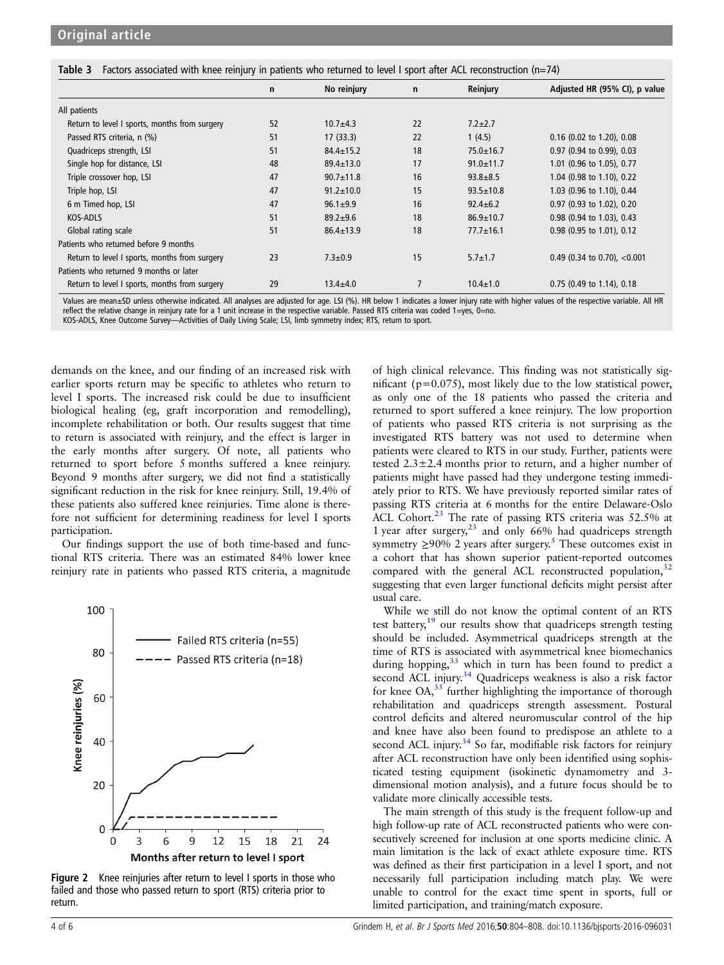<span id="page-3-0"></span>Table 3 Factors associated with knee reinjury in patients who returned to level I sport after ACL reconstruction (n=74)

|                                               | $\mathsf{n}$ | No reinjury     | $\mathbf n$ | Reinjury        | Adjusted HR (95% CI), p value  |  |
|-----------------------------------------------|--------------|-----------------|-------------|-----------------|--------------------------------|--|
| All patients                                  |              |                 |             |                 |                                |  |
| Return to level I sports, months from surgery | 52           | $10.7 + 4.3$    | 22          | $7.2 \pm 2.7$   |                                |  |
| Passed RTS criteria, n (%)                    | 51           | 17(33.3)        | 22          | 1(4.5)          | 0.16 (0.02 to 1.20), 0.08      |  |
| Quadriceps strength, LSI                      | 51           | $84.4 \pm 15.2$ | 18          | $75.0 \pm 16.7$ | 0.97 (0.94 to 0.99), 0.03      |  |
| Single hop for distance, LSI                  | 48           | $89.4 \pm 13.0$ | 17          | $91.0 \pm 11.7$ | 1.01 (0.96 to 1.05), 0.77      |  |
| Triple crossover hop, LSI                     | 47           | $90.7 \pm 11.8$ | 16          | $93.8 + 8.5$    | 1.04 (0.98 to 1.10), 0.22      |  |
| Triple hop, LSI                               | 47           | $91.2 \pm 10.0$ | 15          | $93.5 \pm 10.8$ | 1.03 (0.96 to 1.10), 0.44      |  |
| 6 m Timed hop, LSI                            | 47           | $96.1 \pm 9.9$  | 16          | $92.4 \pm 6.2$  | 0.97 (0.93 to 1.02), 0.20      |  |
| KOS-ADLS                                      | 51           | $89.2 + 9.6$    | 18          | $86.9 \pm 10.7$ | 0.98 (0.94 to 1.03), 0.43      |  |
| Global rating scale                           | 51           | $86.4 \pm 13.9$ | 18          | $77.7 \pm 16.1$ | 0.98 (0.95 to 1.01), 0.12      |  |
| Patients who returned before 9 months         |              |                 |             |                 |                                |  |
| Return to level I sports, months from surgery | 23           | $7.3 \pm 0.9$   | 15          | $5.7 \pm 1.7$   | 0.49 (0.34 to 0.70), $<$ 0.001 |  |
| Patients who returned 9 months or later       |              |                 |             |                 |                                |  |
| Return to level I sports, months from surgery | 29           | $13.4 + 4.0$    | 7           | $10.4 \pm 1.0$  | 0.75 (0.49 to 1.14), 0.18      |  |

Values are mean±SD unless otherwise indicated. All analyses are adjusted for age. LSI (%). HR below 1 indicates a lower injury rate with higher values of the respective variable. All HR reflect the relative change in reinjury rate for a 1 unit increase in the respective variable. Passed RTS criteria was coded 1=yes, 0=no.

KOS-ADLS, Knee Outcome Survey—Activities of Daily Living Scale; LSI, limb symmetry index; RTS, return to sport.

demands on the knee, and our finding of an increased risk with earlier sports return may be specific to athletes who return to level I sports. The increased risk could be due to insufficient biological healing (eg, graft incorporation and remodelling), incomplete rehabilitation or both. Our results suggest that time to return is associated with reinjury, and the effect is larger in the early months after surgery. Of note, all patients who returned to sport before 5 months suffered a knee reinjury. Beyond 9 months after surgery, we did not find a statistically significant reduction in the risk for knee reinjury. Still, 19.4% of these patients also suffered knee reinjuries. Time alone is therefore not sufficient for determining readiness for level I sports participation.

Our findings support the use of both time-based and functional RTS criteria. There was an estimated 84% lower knee reinjury rate in patients who passed RTS criteria, a magnitude



Figure 2 Knee reiniuries after return to level I sports in those who failed and those who passed return to sport (RTS) criteria prior to return.

of high clinical relevance. This finding was not statistically significant (p=0.075), most likely due to the low statistical power, as only one of the 18 patients who passed the criteria and returned to sport suffered a knee reinjury. The low proportion of patients who passed RTS criteria is not surprising as the investigated RTS battery was not used to determine when patients were cleared to RTS in our study. Further, patients were tested  $2.3 \pm 2.4$  months prior to return, and a higher number of patients might have passed had they undergone testing immediately prior to RTS. We have previously reported similar rates of passing RTS criteria at 6 months for the entire Delaware-Oslo ACL Cohort. $^{23}$  $^{23}$  $^{23}$  The rate of passing RTS criteria was 52.5% at 1 year after surgery, $23$  and only 66% had quadriceps strength symmetry  $\geq$ 90% 2 years after surgery.<sup>5</sup> These outcomes exist in a cohort that has shown superior patient-reported outcomes compared with the general ACL reconstructed population, $32$ suggesting that even larger functional deficits might persist after usual care.

While we still do not know the optimal content of an RTS test battery,<sup>[19](#page-4-0)</sup> our results show that quadriceps strength testing should be included. Asymmetrical quadriceps strength at the time of RTS is associated with asymmetrical knee biomechanics during hopping, $33$  which in turn has been found to predict a second ACL injury.<sup>[34](#page-5-0)</sup> Quadriceps weakness is also a risk factor for knee  $OA<sub>35</sub>$  $OA<sub>35</sub>$  $OA<sub>35</sub>$  further highlighting the importance of thorough rehabilitation and quadriceps strength assessment. Postural control deficits and altered neuromuscular control of the hip and knee have also been found to predispose an athlete to a second ACL injury.<sup>[34](#page-5-0)</sup> So far, modifiable risk factors for reinjury after ACL reconstruction have only been identified using sophisticated testing equipment (isokinetic dynamometry and 3 dimensional motion analysis), and a future focus should be to validate more clinically accessible tests.

The main strength of this study is the frequent follow-up and high follow-up rate of ACL reconstructed patients who were consecutively screened for inclusion at one sports medicine clinic. A main limitation is the lack of exact athlete exposure time. RTS was defined as their first participation in a level I sport, and not necessarily full participation including match play. We were unable to control for the exact time spent in sports, full or limited participation, and training/match exposure.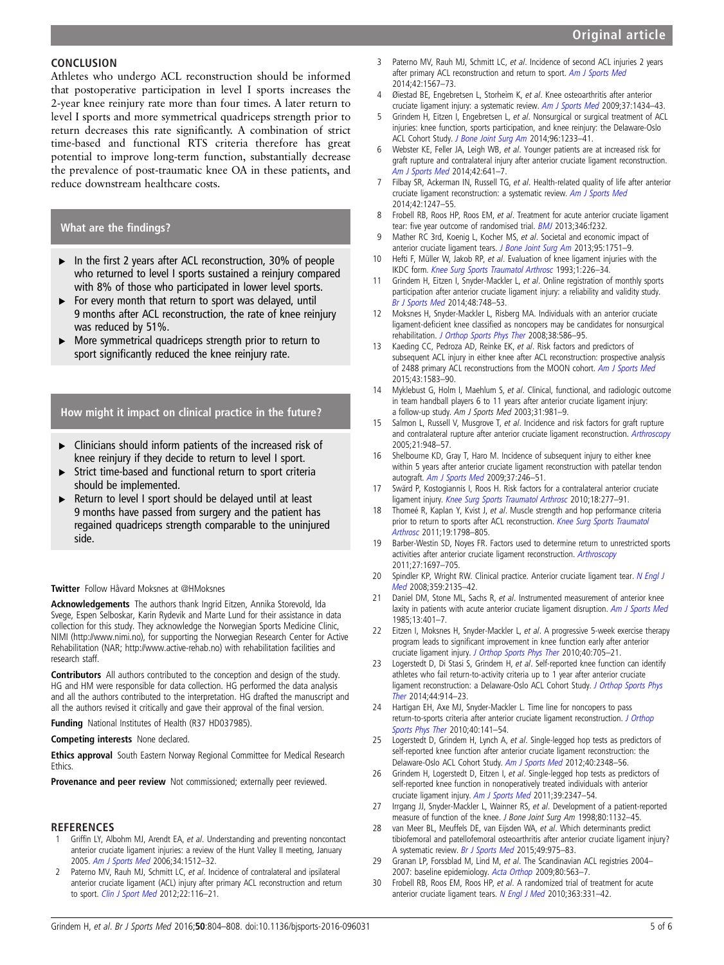## <span id="page-4-0"></span>**CONCLUSION**

Athletes who undergo ACL reconstruction should be informed that postoperative participation in level I sports increases the 2-year knee reinjury rate more than four times. A later return to level I sports and more symmetrical quadriceps strength prior to return decreases this rate significantly. A combination of strict time-based and functional RTS criteria therefore has great potential to improve long-term function, substantially decrease the prevalence of post-traumatic knee OA in these patients, and reduce downstream healthcare costs.

## What are the findings?

- ▸ In the first 2 years after ACL reconstruction, 30% of people who returned to level I sports sustained a reinjury compared with 8% of those who participated in lower level sports.
- ▶ For every month that return to sport was delayed, until 9 months after ACL reconstruction, the rate of knee reinjury was reduced by 51%.
- ▸ More symmetrical quadriceps strength prior to return to sport significantly reduced the knee reinjury rate.

## How might it impact on clinical practice in the future?

- ▸ Clinicians should inform patients of the increased risk of knee reinjury if they decide to return to level I sport.
- ▸ Strict time-based and functional return to sport criteria should be implemented.
- Return to level I sport should be delayed until at least 9 months have passed from surgery and the patient has regained quadriceps strength comparable to the uninjured side.

#### Twitter Follow Håvard Moksnes at [@HMoksnes](http://twitter.com/HMoksnes)

Acknowledgements The authors thank Ingrid Eitzen, Annika Storevold, Ida Svege, Espen Selboskar, Karin Rydevik and Marte Lund for their assistance in data collection for this study. They acknowledge the Norwegian Sports Medicine Clinic, NIMI [\(http://www.nimi.no\)](http://www.nimi.no), for supporting the Norwegian Research Center for Active Rehabilitation (NAR; [http://www.active-rehab.no\)](http://www.active-rehab.no) with rehabilitation facilities and research staff.

Contributors All authors contributed to the conception and design of the study. HG and HM were responsible for data collection. HG performed the data analysis and all the authors contributed to the interpretation. HG drafted the manuscript and all the authors revised it critically and gave their approval of the final version.

Funding National Institutes of Health (R37 HD037985).

#### Competing interests None declared.

Ethics approval South Eastern Norway Regional Committee for Medical Research Ethics.

Provenance and peer review Not commissioned; externally peer reviewed.

#### **REFERENCES**

- Griffin LY, Albohm MJ, Arendt EA, et al. Understanding and preventing noncontact anterior cruciate ligament injuries: a review of the Hunt Valley II meeting, January 2005. [Am J Sports Med](http://dx.doi.org/10.1177/0363546506286866) 2006;34:1512–32.
- 2 Paterno MV, Rauh MJ, Schmitt LC, et al. Incidence of contralateral and ipsilateral anterior cruciate ligament (ACL) injury after primary ACL reconstruction and return to sport. [Clin J Sport Med](http://dx.doi.org/10.1016/j.joca.2014.10.00810.1097/JSM.0b013e318246ef9e) 2012;22:116–21.
- 3 Paterno MV, Rauh MJ, Schmitt LC, et al. Incidence of second ACL injuries 2 years after primary ACL reconstruction and return to sport. [Am J Sports Med](http://dx.doi.org/10.1177/0363546514530088) 2014;42:1567–73.
- 4 Øiestad BE, Engebretsen L, Storheim K, et al. Knee osteoarthritis after anterior cruciate ligament injury: a systematic review. [Am J Sports Med](http://dx.doi.org/10.1177/0363546509338827) 2009;37:1434–43.
- 5 Grindem H, Eitzen I, Engebretsen L, et al. Nonsurgical or surgical treatment of ACL injuries: knee function, sports participation, and knee reinjury: the Delaware-Oslo ACL Cohort Study. [J Bone Joint Surg Am](http://dx.doi.org/10.2106/JBJS.M.01054) 2014;96:1233–41.
- Webster KE, Feller JA, Leigh WB, et al. Younger patients are at increased risk for graft rupture and contralateral injury after anterior cruciate ligament reconstruction. [Am J Sports Med](http://dx.doi.org/10.1177/0363546513517540) 2014;42:641–7.
- 7 Filbay SR, Ackerman IN, Russell TG, et al. Health-related quality of life after anterior cruciate ligament reconstruction: a systematic review. [Am J Sports Med](http://dx.doi.org/10.1177/0363546513512774) 2014;42:1247–55.
- 8 Frobell RB, Roos HP, Roos EM, et al. Treatment for acute anterior cruciate ligament tear: five year outcome of randomised trial. **[BMJ](http://dx.doi.org/10.1136/bmj.f232)** 2013;346:f232.
- 9 Mather RC 3rd, Koenig L, Kocher MS, et al. Societal and economic impact of anterior cruciate ligament tears. [J Bone Joint Surg Am](http://dx.doi.org/10.2106/JBJS.K.00657) 2013;95:1751-9.
- 10 Hefti F, Müller W, Jakob RP, et al. Evaluation of knee ligament injuries with the IKDC form. [Knee Surg Sports Traumatol Arthrosc](http://dx.doi.org/10.1007/BF01552149) 1993;1:226–34.
- 11 Grindem H, Eitzen I, Snyder-Mackler L, et al. Online registration of monthly sports participation after anterior cruciate ligament injury: a reliability and validity study. [Br J Sports Med](http://dx.doi.org/10.1136/bjsports-2012-092075) 2014;48:748–53.
- 12 Moksnes H, Snyder-Mackler L, Risberg MA. Individuals with an anterior cruciate ligament-deficient knee classified as noncopers may be candidates for nonsurgical rehabilitation. [J Orthop Sports Phys Ther](http://dx.doi.org/10.2519/jospt.2008.2750) 2008;38:586-95.
- 13 Kaeding CC, Pedroza AD, Reinke EK, et al. Risk factors and predictors of subsequent ACL injury in either knee after ACL reconstruction: prospective analysis of 2488 primary ACL reconstructions from the MOON cohort. [Am J Sports Med](http://dx.doi.org/10.1177/0363546515578836) 2015;43:1583–90.
- 14 Myklebust G, Holm I, Maehlum S, et al. Clinical, functional, and radiologic outcome in team handball players 6 to 11 years after anterior cruciate ligament injury: a follow-up study. Am J Sports Med 2003;31:981–9.
- 15 Salmon L, Russell V, Musgrove T, et al. Incidence and risk factors for graft rupture and contralateral rupture after anterior cruciate ligament reconstruction. [Arthroscopy](http://dx.doi.org/10.1016/j.arthro.2005.04.110) 2005;21:948–57.
- 16 Shelbourne KD, Gray T, Haro M. Incidence of subsequent injury to either knee within 5 years after anterior cruciate ligament reconstruction with patellar tendon autograft. [Am J Sports Med](http://dx.doi.org/10.1177/37.3.e2) 2009;37:246-51.
- 17 Swärd P, Kostogiannis I, Roos H. Risk factors for a contralateral anterior cruciate ligament injury. [Knee Surg Sports Traumatol Arthrosc](http://dx.doi.org/10.1007/s00167-009-1026-3) 2010;18:277–91.
- 18 Thomeé R, Kaplan Y, Kvist J, et al. Muscle strength and hop performance criteria prior to return to sports after ACL reconstruction. [Knee Surg Sports Traumatol](http://dx.doi.org/10.1007/s00167-011-1669-8) [Arthrosc](http://dx.doi.org/10.1007/s00167-011-1669-8) 2011;19:1798–805.
- 19 Barber-Westin SD, Noyes FR. Factors used to determine return to unrestricted sports activities after anterior cruciate ligament reconstruction. [Arthroscopy](http://dx.doi.org/10.1016/j.arthro.2011.09.009) 2011;27:1697–705.
- 20 Spindler KP, Wright RW. Clinical practice. Anterior cruciate ligament tear. [N Engl J](http://dx.doi.org/10.1056/NEJMcp0804745) [Med](http://dx.doi.org/10.1056/NEJMcp0804745) 2008;359:2135–42.
- Daniel DM, Stone ML, Sachs R, et al. Instrumented measurement of anterior knee laxity in patients with acute anterior cruciate ligament disruption. [Am J Sports Med](http://dx.doi.org/10.1177/036354658501300607) 1985;13:401–7.
- 22 Eitzen I, Moksnes H, Snyder-Mackler L, et al. A progressive 5-week exercise therapy program leads to significant improvement in knee function early after anterior cruciate ligament injury. [J Orthop Sports Phys Ther](http://dx.doi.org/10.2519/jospt.2010.3345) 2010;40:705–21.
- 23 Logerstedt D, Di Stasi S, Grindem H, et al. Self-reported knee function can identify athletes who fail return-to-activity criteria up to 1 year after anterior cruciate ligament reconstruction: a Delaware-Oslo ACL Cohort Study. J Orthop Sports Phys Ther 2014;44:914–23.
- 24 Hartigan EH, Axe MJ, Snyder-Mackler L. Time line for noncopers to pass return-to-sports criteria after anterior cruciate ligament reconstruction. J Orthop Sports Phys Ther 2010;40:141–54.
- 25 Logerstedt D, Grindem H, Lynch A, et al. Single-legged hop tests as predictors of self-reported knee function after anterior cruciate ligament reconstruction: the Delaware-Oslo ACL Cohort Study. Am J Sports Med 2012;40:2348–56.
- 26 Grindem H, Logerstedt D, Eitzen I, et al. Single-legged hop tests as predictors of self-reported knee function in nonoperatively treated individuals with anterior cruciate ligament injury. Am J Sports Med 2011;39:2347–54.
- 27 Irrgang JJ, Snyder-Mackler L, Wainner RS, et al. Development of a patient-reported measure of function of the knee. J Bone Joint Surg Am 1998;80:1132–45.
- 28 van Meer BL, Meuffels DE, van Eijsden WA, et al. Which determinants predict tibiofemoral and patellofemoral osteoarthritis after anterior cruciate ligament injury? A systematic review. Br J Sports Med 2015;49:975–83.
- 29 Granan LP, Forssblad M, Lind M, et al. The Scandinavian ACL registries 2004– 2007: baseline epidemiology. Acta Orthop 2009;80:563-7.
- 30 Frobell RB, Roos EM, Roos HP, et al. A randomized trial of treatment for acute anterior cruciate ligament tears. N Engl J Med 2010;363:331-42.